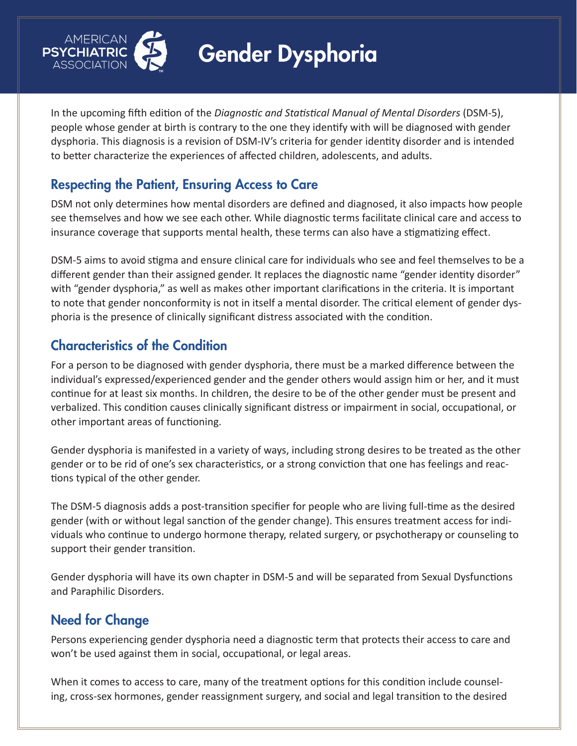

## Gender Dysphoria

In the upcoming fifth edition of the *Diagnostic and Statistical Manual of Mental Disorders* (DSM-5), people whose gender at birth is contrary to the one they identify with will be diagnosed with gender dysphoria. This diagnosis is a revision of DSM-IV's criteria for gender identity disorder and is intended to better characterize the experiences of affected children, adolescents, and adults.

## Respecting the Patient, Ensuring Access to Care

DSM not only determines how mental disorders are defined and diagnosed, it also impacts how people see themselves and how we see each other. While diagnostic terms facilitate clinical care and access to insurance coverage that supports mental health, these terms can also have a stigmatizing effect.

DSM-5 aims to avoid stigma and ensure clinical care for individuals who see and feel themselves to be a different gender than their assigned gender. It replaces the diagnostic name "gender identity disorder" with "gender dysphoria," as well as makes other important clarifications in the criteria. It is important to note that gender nonconformity is not in itself a mental disorder. The critical element of gender dysphoria is the presence of clinically significant distress associated with the condition.

## Characteristics of the Condition

For a person to be diagnosed with gender dysphoria, there must be a marked difference between the individual's expressed/experienced gender and the gender others would assign him or her, and it must continue for at least six months. In children, the desire to be of the other gender must be present and verbalized. This condition causes clinically significant distress or impairment in social, occupational, or other important areas of functioning.

Gender dysphoria is manifested in a variety of ways, including strong desires to be treated as the other gender or to be rid of one's sex characteristics, or a strong conviction that one has feelings and reactions typical of the other gender.

The DSM-5 diagnosis adds a post-transition specifier for people who are living full-time as the desired gender (with or without legal sanction of the gender change). This ensures treatment access for individuals who continue to undergo hormone therapy, related surgery, or psychotherapy or counseling to support their gender transition.

Gender dysphoria will have its own chapter in DSM-5 and will be separated from Sexual Dysfunctions and Paraphilic Disorders.

## Need for Change

Persons experiencing gender dysphoria need a diagnostic term that protects their access to care and won't be used against them in social, occupational, or legal areas.

When it comes to access to care, many of the treatment options for this condition include counseling, cross-sex hormones, gender reassignment surgery, and social and legal transition to the desired